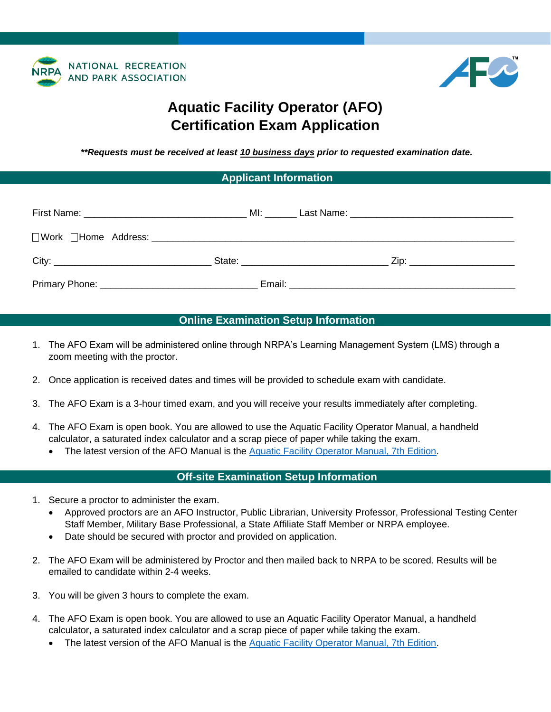



# **Aquatic Facility Operator (AFO) Certification Exam Application**

*\*\*Requests must be received at least 10 business days prior to requested examination date.*

#### **Applicant Information**

## **Online Examination Setup Information**

- 1. The AFO Exam will be administered online through NRPA's Learning Management System (LMS) through a zoom meeting with the proctor.
- 2. Once application is received dates and times will be provided to schedule exam with candidate.
- 3. The AFO Exam is a 3-hour timed exam, and you will receive your results immediately after completing.
- 4. The AFO Exam is open book. You are allowed to use the Aquatic Facility Operator Manual, a handheld calculator, a saturated index calculator and a scrap piece of paper while taking the exam.
	- The latest version of the AFO Manual is the [Aquatic Facility Operator Manual, 7th Edition.](https://apps.nrpa.org/Store/detail.aspx?id=AQUATICF05)

#### **Off-site Examination Setup Information**

- 1. Secure a proctor to administer the exam.
	- Approved proctors are an AFO Instructor, Public Librarian, University Professor, Professional Testing Center Staff Member, Military Base Professional, a State Affiliate Staff Member or NRPA employee.
	- Date should be secured with proctor and provided on application.
- 2. The AFO Exam will be administered by Proctor and then mailed back to NRPA to be scored. Results will be emailed to candidate within 2-4 weeks.
- 3. You will be given 3 hours to complete the exam.
- 4. The AFO Exam is open book. You are allowed to use an Aquatic Facility Operator Manual, a handheld calculator, a saturated index calculator and a scrap piece of paper while taking the exam.
	- The latest version of the AFO Manual is the [Aquatic Facility Operator Manual, 7th Edition.](https://apps.nrpa.org/Store/detail.aspx?id=AQUATICF05)